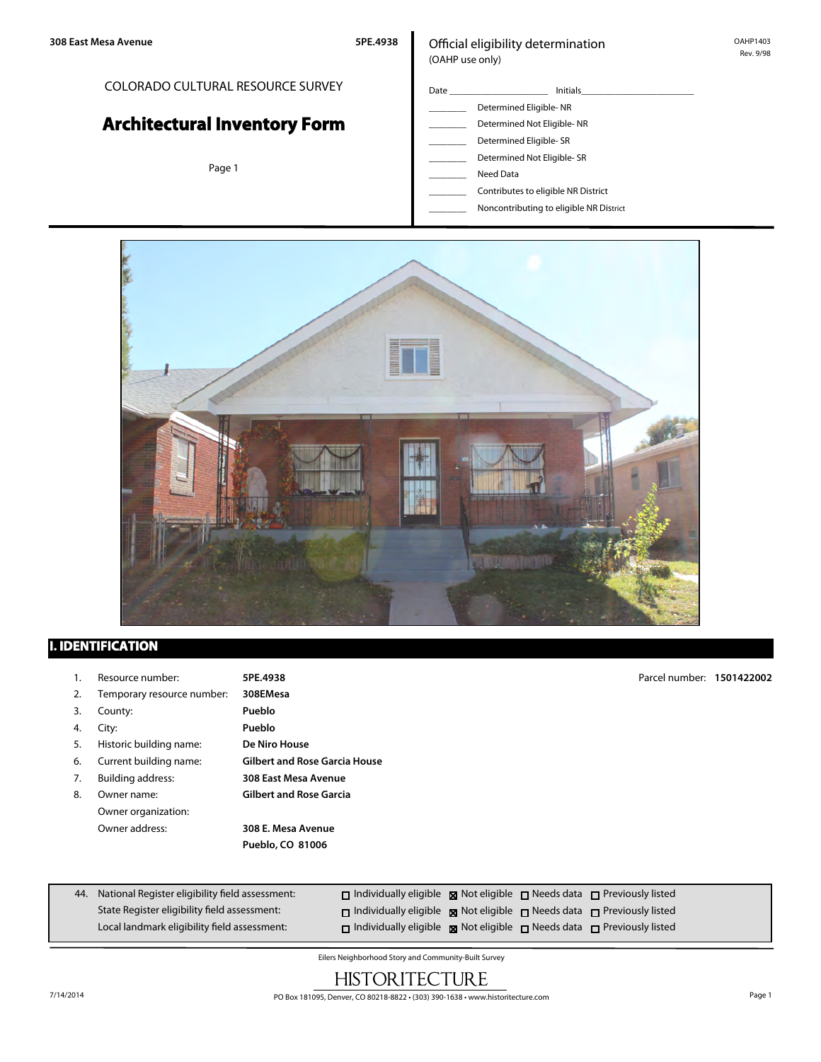#### COLORADO CULTURAL RESOURCE SURVEY

# **Architectural Inventory Form**

Page 1

#### Official eligibility determination (OAHP use only)

- Date \_\_\_\_\_\_\_\_\_\_\_\_\_\_\_\_\_\_\_\_\_ Initials\_\_\_\_\_\_\_\_\_\_\_\_\_\_\_\_\_\_\_\_\_\_\_\_ \_\_\_\_\_\_\_\_ Determined Eligible- NR Determined Not Eligible- NR Determined Eligible- SR Determined Not Eligible- SR
	- Need Data
	- \_\_\_\_\_\_\_\_ Contributes to eligible NR District
	- \_\_\_\_\_\_\_\_ Noncontributing to eligible NR District



## **I. IDENTIFICATION**

|    | Resource number:           | 5PE.4938                             | Parcel number: 1501422002 |  |
|----|----------------------------|--------------------------------------|---------------------------|--|
| 2. | Temporary resource number: | 308EMesa                             |                           |  |
| 3. | County:                    | Pueblo                               |                           |  |
| 4. | City:                      | Pueblo                               |                           |  |
| 5. | Historic building name:    | De Niro House                        |                           |  |
| 6. | Current building name:     | <b>Gilbert and Rose Garcia House</b> |                           |  |
| 7. | <b>Building address:</b>   | 308 East Mesa Avenue                 |                           |  |
| 8. | Owner name:                | <b>Gilbert and Rose Garcia</b>       |                           |  |
|    | Owner organization:        |                                      |                           |  |
|    | Owner address:             | 308 E. Mesa Avenue                   |                           |  |
|    |                            | Pueblo, CO 81006                     |                           |  |
|    |                            |                                      |                           |  |
|    |                            |                                      |                           |  |

| 44. National Register eligibility field assessment: | $\Box$ Individually eligible $\boxtimes$ Not eligible $\Box$ Needs data $\Box$ Previously listed |  |  |
|-----------------------------------------------------|--------------------------------------------------------------------------------------------------|--|--|
| State Register eligibility field assessment:        | $\Box$ Individually eligible $\boxtimes$ Not eligible $\Box$ Needs data $\Box$ Previously listed |  |  |
| Local landmark eligibility field assessment:        | $\Box$ Individually eligible $\boxtimes$ Not eligible $\Box$ Needs data $\Box$ Previously listed |  |  |

Eilers Neighborhood Story and Community-Built Survey

## **HISTORITECTURE**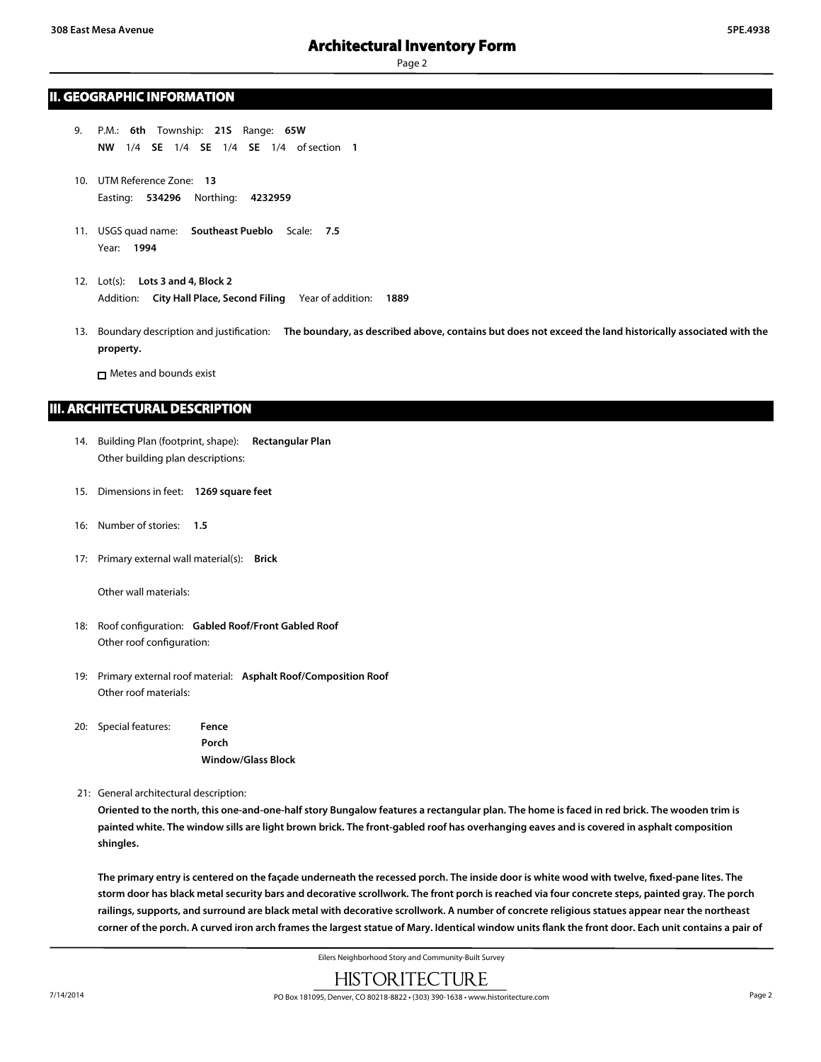#### **II. GEOGRAPHIC INFORMATION**

- 9. P.M.: **6th** Township: **21S** Range: **65W NW** 1/4 **SE** 1/4 **SE** 1/4 **SE** 1/4 of section **1**
- 10. UTM Reference Zone: **13** Easting: **534296** Northing: **4232959**
- 11. USGS quad name: **Southeast Pueblo** Scale: **7.5** Year: **1994**
- 12. Lot(s): **Lots 3 and 4, Block 2** Addition: **City Hall Place, Second Filing** Year of addition: **1889**
- 13. Boundary description and justification: **The boundary, as described above, contains but does not exceed the land historically associated with the property.**

Metes and bounds exist

#### **III. ARCHITECTURAL DESCRIPTION**

- 14. Building Plan (footprint, shape): **Rectangular Plan** Other building plan descriptions:
- 15. Dimensions in feet: **1269 square feet**
- 16: Number of stories: **1.5**
- 17: Primary external wall material(s): **Brick**

Other wall materials:

- 18: Roof configuration: **Gabled Roof/Front Gabled Roof** Other roof configuration:
- 19: Primary external roof material: **Asphalt Roof/Composition Roof** Other roof materials:
- 20: Special features: **Fence Porch Window/Glass Block**

21: General architectural description:

**Oriented to the north, this one-and-one-half story Bungalow features a rectangular plan. The home is faced in red brick. The wooden trim is painted white. The window sills are light brown brick. The front-gabled roof has overhanging eaves and is covered in asphalt composition shingles.**

**The primary entry is centered on the façade underneath the recessed porch. The inside door is white wood with twelve, fixed-pane lites. The storm door has black metal security bars and decorative scrollwork. The front porch is reached via four concrete steps, painted gray. The porch railings, supports, and surround are black metal with decorative scrollwork. A number of concrete religious statues appear near the northeast corner of the porch. A curved iron arch frames the largest statue of Mary. Identical window units flank the front door. Each unit contains a pair of**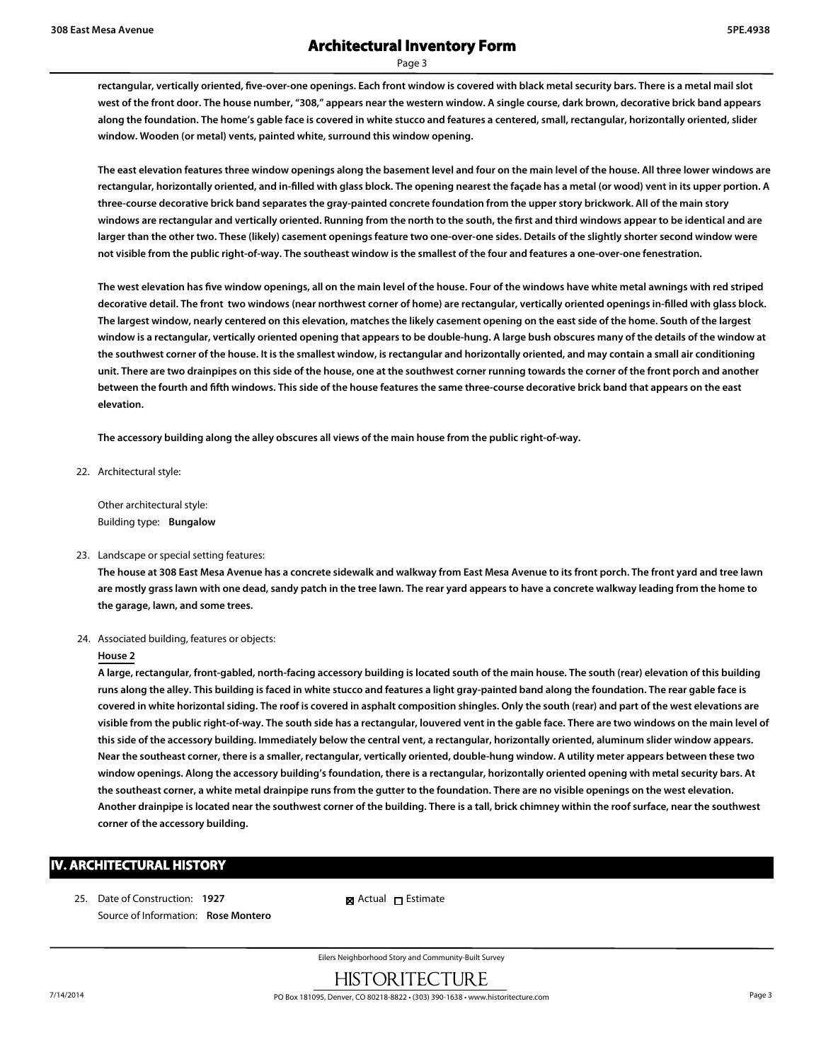**rectangular, vertically oriented, five-over-one openings. Each front window is covered with black metal security bars. There is a metal mail slot west of the front door. The house number, "308," appears near the western window. A single course, dark brown, decorative brick band appears along the foundation. The home's gable face is covered in white stucco and features a centered, small, rectangular, horizontally oriented, slider window. Wooden (or metal) vents, painted white, surround this window opening.**

**The east elevation features three window openings along the basement level and four on the main level of the house. All three lower windows are rectangular, horizontally oriented, and in-filled with glass block. The opening nearest the façade has a metal (or wood) vent in its upper portion. A three-course decorative brick band separates the gray-painted concrete foundation from the upper story brickwork. All of the main story windows are rectangular and vertically oriented. Running from the north to the south, the first and third windows appear to be identical and are larger than the other two. These (likely) casement openings feature two one-over-one sides. Details of the slightly shorter second window were not visible from the public right-of-way. The southeast window is the smallest of the four and features a one-over-one fenestration.**

**The west elevation has five window openings, all on the main level of the house. Four of the windows have white metal awnings with red striped decorative detail. The front two windows (near northwest corner of home) are rectangular, vertically oriented openings in-filled with glass block. The largest window, nearly centered on this elevation, matches the likely casement opening on the east side of the home. South of the largest window is a rectangular, vertically oriented opening that appears to be double-hung. A large bush obscures many of the details of the window at the southwest corner of the house. It is the smallest window, is rectangular and horizontally oriented, and may contain a small air conditioning unit. There are two drainpipes on this side of the house, one at the southwest corner running towards the corner of the front porch and another between the fourth and fifth windows. This side of the house features the same three-course decorative brick band that appears on the east elevation.**

**The accessory building along the alley obscures all views of the main house from the public right-of-way.**

22. Architectural style:

Other architectural style: Building type: **Bungalow**

23. Landscape or special setting features:

**The house at 308 East Mesa Avenue has a concrete sidewalk and walkway from East Mesa Avenue to its front porch. The front yard and tree lawn are mostly grass lawn with one dead, sandy patch in the tree lawn. The rear yard appears to have a concrete walkway leading from the home to the garage, lawn, and some trees.**

24. Associated building, features or objects:

#### **House 2**

**A large, rectangular, front-gabled, north-facing accessory building is located south of the main house. The south (rear) elevation of this building runs along the alley. This building is faced in white stucco and features a light gray-painted band along the foundation. The rear gable face is covered in white horizontal siding. The roof is covered in asphalt composition shingles. Only the south (rear) and part of the west elevations are visible from the public right-of-way. The south side has a rectangular, louvered vent in the gable face. There are two windows on the main level of this side of the accessory building. Immediately below the central vent, a rectangular, horizontally oriented, aluminum slider window appears. Near the southeast corner, there is a smaller, rectangular, vertically oriented, double-hung window. A utility meter appears between these two window openings. Along the accessory building's foundation, there is a rectangular, horizontally oriented opening with metal security bars. At the southeast corner, a white metal drainpipe runs from the gutter to the foundation. There are no visible openings on the west elevation. Another drainpipe is located near the southwest corner of the building. There is a tall, brick chimney within the roof surface, near the southwest corner of the accessory building.**

#### **IV. ARCHITECTURAL HISTORY**

25. Date of Construction: **1927** Source of Information: **Rose Montero** **R** Actual **I** Estimate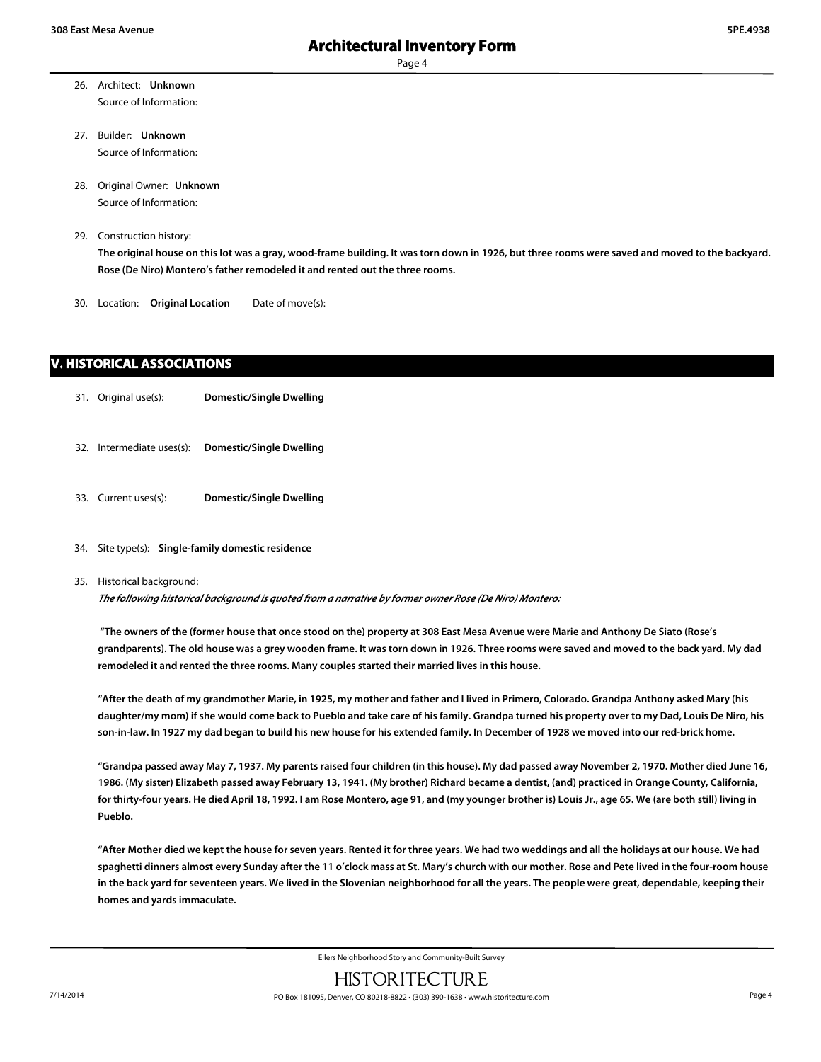- 26. Architect: **Unknown** Source of Information:
- 27. Builder: **Unknown** Source of Information:
- 28. Original Owner: **Unknown** Source of Information:
- 29. Construction history:

**The original house on this lot was a gray, wood-frame building. It was torn down in 1926, but three rooms were saved and moved to the backyard. Rose (De Niro) Montero's father remodeled it and rented out the three rooms.**

30. Location: **Original Location** Date of move(s):

#### **V. HISTORICAL ASSOCIATIONS**

- 31. Original use(s): **Domestic/Single Dwelling**
- 32. Intermediate uses(s): **Domestic/Single Dwelling**
- 33. Current uses(s): **Domestic/Single Dwelling**
- 34. Site type(s): **Single-family domestic residence**
- 35. Historical background:

*The following historical background is quoted from a narrative by former owner Rose (De Niro) Montero:*

 **"The owners of the (former house that once stood on the) property at 308 East Mesa Avenue were Marie and Anthony De Siato (Rose's grandparents). The old house was a grey wooden frame. It was torn down in 1926. Three rooms were saved and moved to the back yard. My dad remodeled it and rented the three rooms. Many couples started their married lives in this house.**

**"After the death of my grandmother Marie, in 1925, my mother and father and I lived in Primero, Colorado. Grandpa Anthony asked Mary (his daughter/my mom) if she would come back to Pueblo and take care of his family. Grandpa turned his property over to my Dad, Louis De Niro, his son-in-law. In 1927 my dad began to build his new house for his extended family. In December of 1928 we moved into our red-brick home.**

**"Grandpa passed away May 7, 1937. My parents raised four children (in this house). My dad passed away November 2, 1970. Mother died June 16, 1986. (My sister) Elizabeth passed away February 13, 1941. (My brother) Richard became a dentist, (and) practiced in Orange County, California, for thirty-four years. He died April 18, 1992. I am Rose Montero, age 91, and (my younger brother is) Louis Jr., age 65. We (are both still) living in Pueblo.**

**"After Mother died we kept the house for seven years. Rented it for three years. We had two weddings and all the holidays at our house. We had spaghetti dinners almost every Sunday after the 11 o'clock mass at St. Mary's church with our mother. Rose and Pete lived in the four-room house in the back yard for seventeen years. We lived in the Slovenian neighborhood for all the years. The people were great, dependable, keeping their homes and yards immaculate.**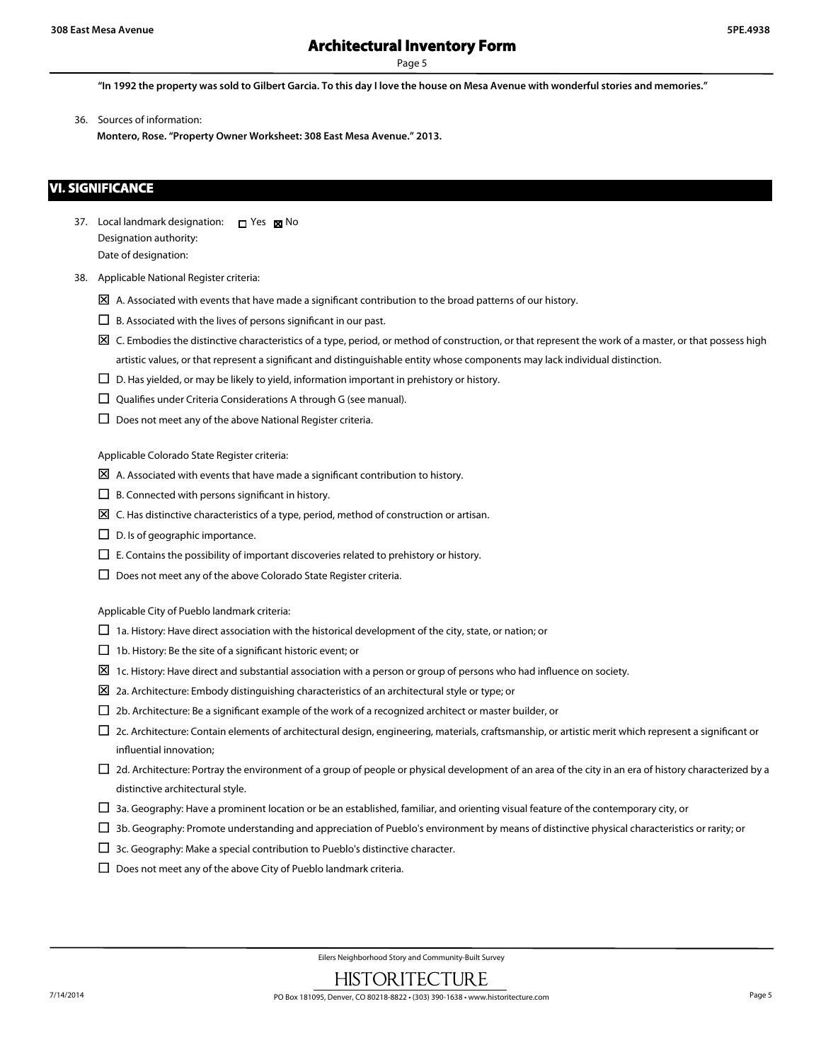### **Architectural Inventory Form**

Page 5

**"In 1992 the property was sold to Gilbert Garcia. To this day I love the house on Mesa Avenue with wonderful stories and memories."**

36. Sources of information:

**Montero, Rose. "Property Owner Worksheet: 308 East Mesa Avenue." 2013.**

#### **VI. SIGNIFICANCE**

- 37. Local landmark designation:  $\Box$  Yes  $\boxtimes$  No Designation authority: Date of designation:
- 38. Applicable National Register criteria:
	- $\boxtimes$  A. Associated with events that have made a significant contribution to the broad patterns of our history.
	- $\Box$  B. Associated with the lives of persons significant in our past.
	- $\boxtimes$  C. Embodies the distinctive characteristics of a type, period, or method of construction, or that represent the work of a master, or that possess high artistic values, or that represent a significant and distinguishable entity whose components may lack individual distinction.
	- $\square$  D. Has yielded, or may be likely to yield, information important in prehistory or history.
	- $\square$  Qualifies under Criteria Considerations A through G (see manual).
	- $\square$  Does not meet any of the above National Register criteria.

Applicable Colorado State Register criteria:

- $\boxtimes$  A. Associated with events that have made a significant contribution to history.
- $\square$  B. Connected with persons significant in history.
- $\boxtimes$  C. Has distinctive characteristics of a type, period, method of construction or artisan.
- $\square$  D. Is of geographic importance.
- $\square$  E. Contains the possibility of important discoveries related to prehistory or history.
- $\square$  Does not meet any of the above Colorado State Register criteria.

Applicable City of Pueblo landmark criteria:

- $\Box$  1a. History: Have direct association with the historical development of the city, state, or nation; or
- $\Box$  1b. History: Be the site of a significant historic event; or
- $\Sigma$  1c. History: Have direct and substantial association with a person or group of persons who had influence on society.
- $\boxtimes$  2a. Architecture: Embody distinguishing characteristics of an architectural style or type; or
- $\Box$  2b. Architecture: Be a significant example of the work of a recognized architect or master builder, or
- $\Box$  2c. Architecture: Contain elements of architectural design, engineering, materials, craftsmanship, or artistic merit which represent a significant or influential innovation;
- $\Box$  2d. Architecture: Portray the environment of a group of people or physical development of an area of the city in an era of history characterized by a distinctive architectural style.
- $\Box$  3a. Geography: Have a prominent location or be an established, familiar, and orienting visual feature of the contemporary city, or
- $\Box$  3b. Geography: Promote understanding and appreciation of Pueblo's environment by means of distinctive physical characteristics or rarity; or
- $\square$  3c. Geography: Make a special contribution to Pueblo's distinctive character.
- $\square$  Does not meet any of the above City of Pueblo landmark criteria.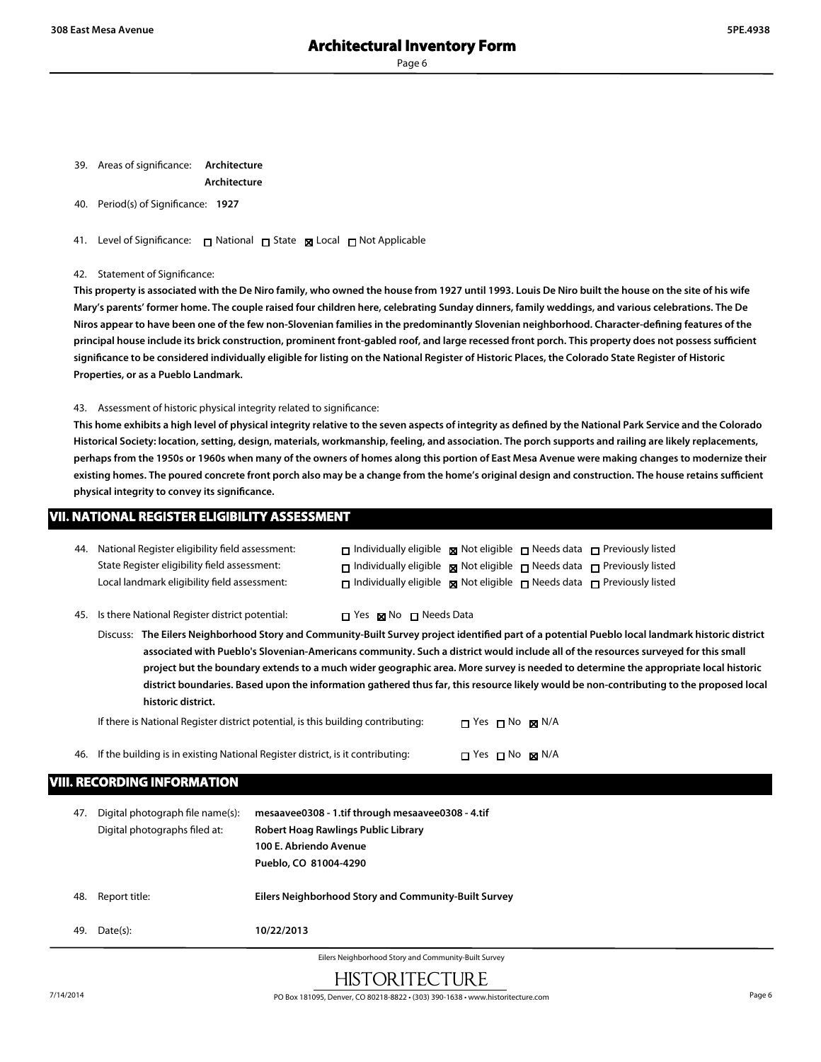39. Areas of significance: **Architecture**

**Architecture**

40. Period(s) of Significance: **1927**

41. Level of Significance: □ National □ State ■ Local □ Not Applicable

42. Statement of Significance:

**This property is associated with the De Niro family, who owned the house from 1927 until 1993. Louis De Niro built the house on the site of his wife Mary's parents' former home. The couple raised four children here, celebrating Sunday dinners, family weddings, and various celebrations. The De Niros appear to have been one of the few non-Slovenian families in the predominantly Slovenian neighborhood. Character-defining features of the principal house include its brick construction, prominent front-gabled roof, and large recessed front porch. This property does not possess sufficient significance to be considered individually eligible for listing on the National Register of Historic Places, the Colorado State Register of Historic Properties, or as a Pueblo Landmark.**

43. Assessment of historic physical integrity related to significance:

**This home exhibits a high level of physical integrity relative to the seven aspects of integrity as defined by the National Park Service and the Colorado Historical Society: location, setting, design, materials, workmanship, feeling, and association. The porch supports and railing are likely replacements, perhaps from the 1950s or 1960s when many of the owners of homes along this portion of East Mesa Avenue were making changes to modernize their existing homes. The poured concrete front porch also may be a change from the home's original design and construction. The house retains sufficient physical integrity to convey its significance.**

| VII. NATIONAL REGISTER ELIGIBILITY ASSESSMENT ' |  |
|-------------------------------------------------|--|
|                                                 |  |

| 44. National Register eligibility field assessment: | $\Box$ Individually eligible $\Box$ Not eligible $\Box$ Needs data $\Box$ Previously listed      |  |  |
|-----------------------------------------------------|--------------------------------------------------------------------------------------------------|--|--|
| State Register eligibility field assessment:        | $\Box$ Individually eligible $\boxtimes$ Not eligible $\Box$ Needs data $\Box$ Previously listed |  |  |
| Local landmark eligibility field assessment:        | $\Box$ Individually eligible $\boxtimes$ Not eligible $\Box$ Needs data $\Box$ Previously listed |  |  |
|                                                     |                                                                                                  |  |  |

45. Is there National Register district potential:  $\Box$  Yes  $\boxtimes$  No  $\Box$  Needs Data

Discuss: **The Eilers Neighborhood Story and Community-Built Survey project identified part of a potential Pueblo local landmark historic district associated with Pueblo's Slovenian-Americans community. Such a district would include all of the resources surveyed for this small project but the boundary extends to a much wider geographic area. More survey is needed to determine the appropriate local historic district boundaries. Based upon the information gathered thus far, this resource likely would be non-contributing to the proposed local historic district.**

If there is National Register district potential, is this building contributing:  $\Box$  Yes  $\Box$  No  $\boxtimes$  N/A

46. If the building is in existing National Register district, is it contributing:  $\Box$  Yes  $\Box$  No  $\boxtimes$  N/A

#### **VIII. RECORDING INFORMATION**

| 47. | Digital photograph file name(s):<br>Digital photographs filed at: | mesaavee0308 - 1.tif through mesaavee0308 - 4.tif<br>Robert Hoag Rawlings Public Library<br>100 E. Abriendo Avenue<br>Pueblo, CO 81004-4290 |
|-----|-------------------------------------------------------------------|---------------------------------------------------------------------------------------------------------------------------------------------|
| 48. | Report title:                                                     | Eilers Neighborhood Story and Community-Built Survey                                                                                        |
| 49. | Date(s):                                                          | 10/22/2013                                                                                                                                  |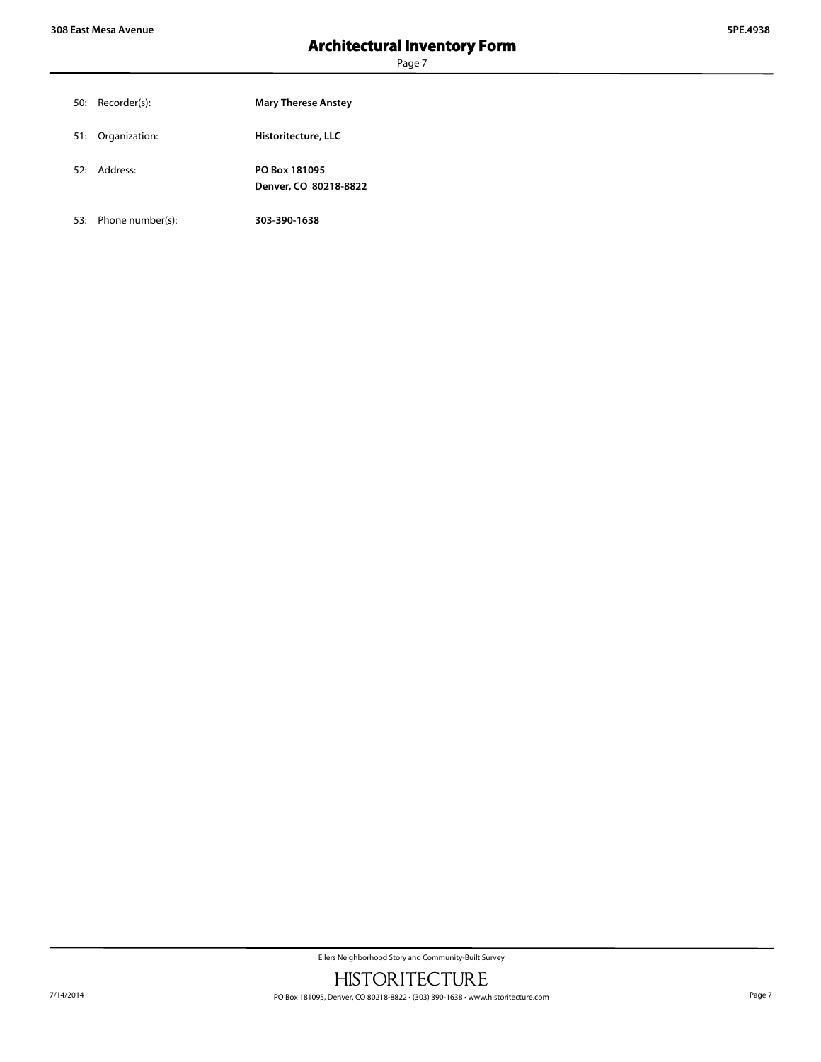| 50: Recorder(s):  | <b>Mary Therese Anstey</b>             |
|-------------------|----------------------------------------|
| 51: Organization: | Historitecture, LLC                    |
| 52: Address:      | PO Box 181095<br>Denver, CO 80218-8822 |

53: Phone number(s): **303-390-1638**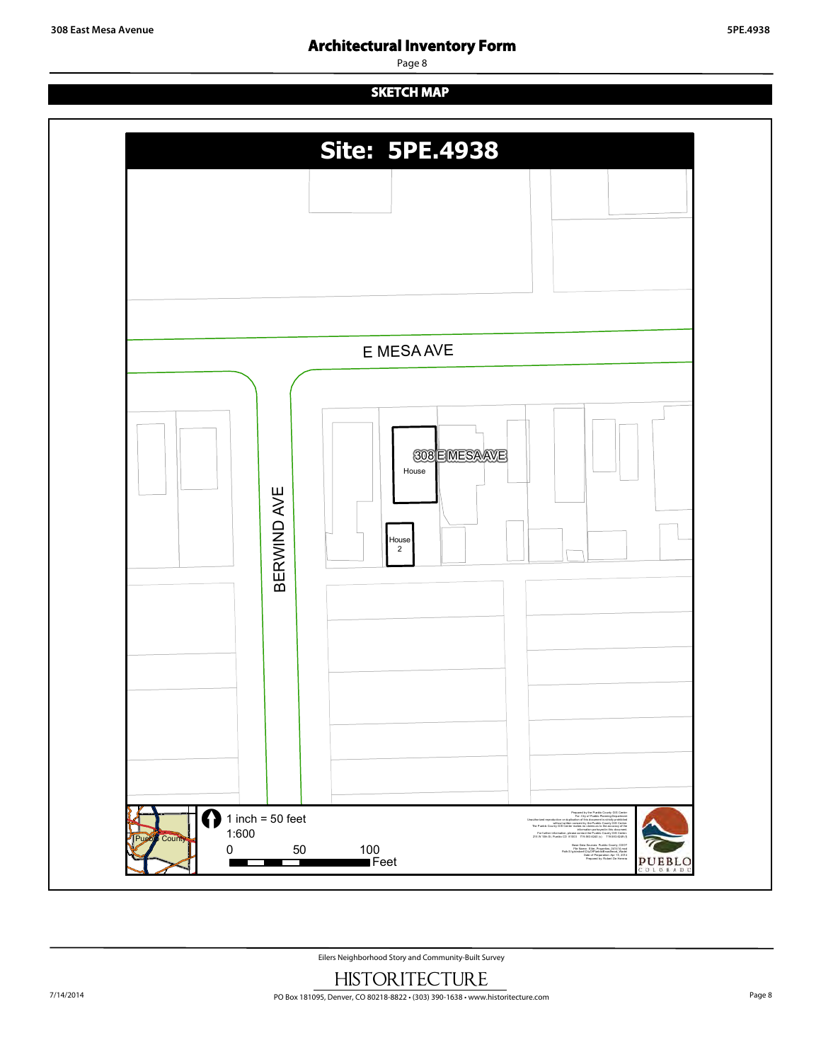## **Architectural Inventory Form**

Page 8

## **SKETCH MAP**